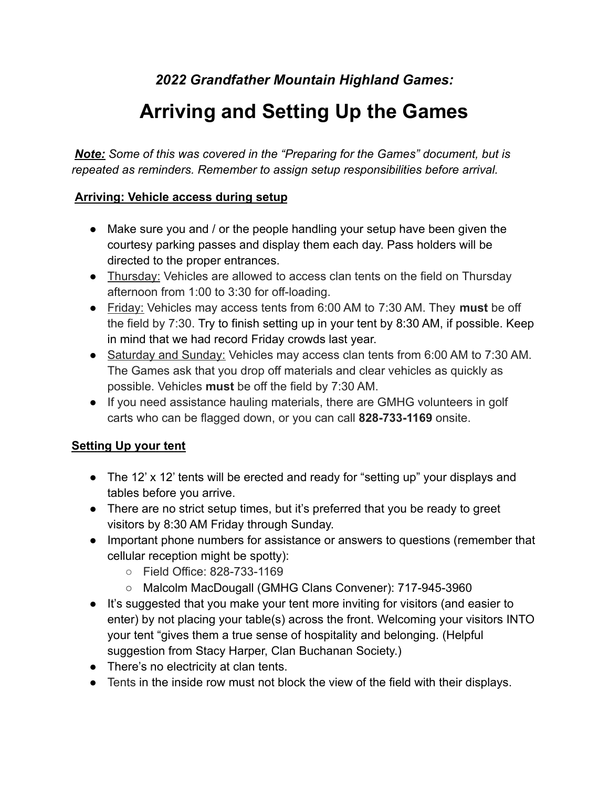*2022 Grandfather Mountain Highland Games:*

## **Arriving and Setting Up the Games**

*Note: Some of this was covered in the "Preparing for the Games" document, but is repeated as reminders. Remember to assign setup responsibilities before arrival.*

## **Arriving: Vehicle access during setup**

- Make sure you and / or the people handling your setup have been given the courtesy parking passes and display them each day. Pass holders will be directed to the proper entrances.
- Thursday: Vehicles are allowed to access clan tents on the field on Thursday afternoon from 1:00 to 3:30 for off-loading.
- Friday: Vehicles may access tents from 6:00 AM to 7:30 AM. They **must** be off the field by 7:30. Try to finish setting up in your tent by 8:30 AM, if possible. Keep in mind that we had record Friday crowds last year.
- Saturday and Sunday: Vehicles may access clan tents from 6:00 AM to 7:30 AM. The Games ask that you drop off materials and clear vehicles as quickly as possible. Vehicles **must** be off the field by 7:30 AM.
- If you need assistance hauling materials, there are GMHG volunteers in golf carts who can be flagged down, or you can call **828-733-1169** onsite.

## **Setting Up your tent**

- The 12' x 12' tents will be erected and ready for "setting up" your displays and tables before you arrive.
- There are no strict setup times, but it's preferred that you be ready to greet visitors by 8:30 AM Friday through Sunday.
- Important phone numbers for assistance or answers to questions (remember that cellular reception might be spotty):
	- Field Office: 828-733-1169
	- Malcolm MacDougall (GMHG Clans Convener): 717-945-3960
- It's suggested that you make your tent more inviting for visitors (and easier to enter) by not placing your table(s) across the front. Welcoming your visitors INTO your tent "gives them a true sense of hospitality and belonging. (Helpful suggestion from Stacy Harper, Clan Buchanan Society.)
- There's no electricity at clan tents.
- Tents in the inside row must not block the view of the field with their displays.